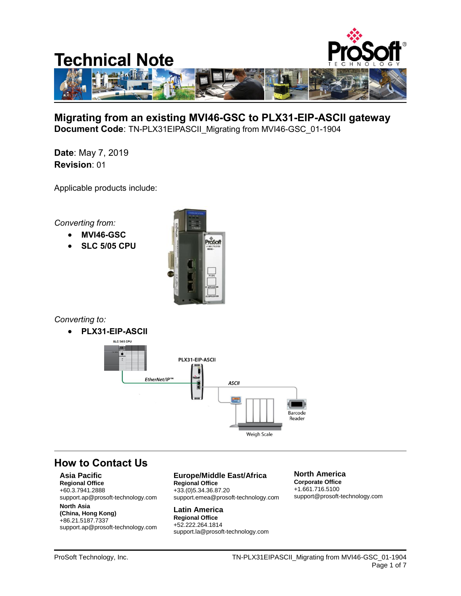

**Migrating from an existing MVI46-GSC to PLX31-EIP-ASCII gateway Document Code**: TN-PLX31EIPASCII\_Migrating from MVI46-GSC\_01-1904

**Date**: May 7, 2019 **Revision**: 01

Applicable products include:

*Converting from:*

- **MVI46-GSC**
- **SLC 5/05 CPU**



*Converting to:*

**PLX31-EIP-ASCII**



# **How to Contact Us**

### **Asia Pacific**

**Regional Office** +60.3.7941.2888 support.ap@prosoft-technology.com

#### **North Asia (China, Hong Kong)**

+86.21.5187.7337 support.ap@prosoft-technology.com

## **Europe/Middle East/Africa**

**Regional Office** +33.(0)5.34.36.87.20 support.emea@prosoft-technology.com

**Latin America Regional Office** +52.222.264.1814 support.la@prosoft-technology.com

#### **North America Corporate Office** +1.661.716.5100 support@prosoft-technology.com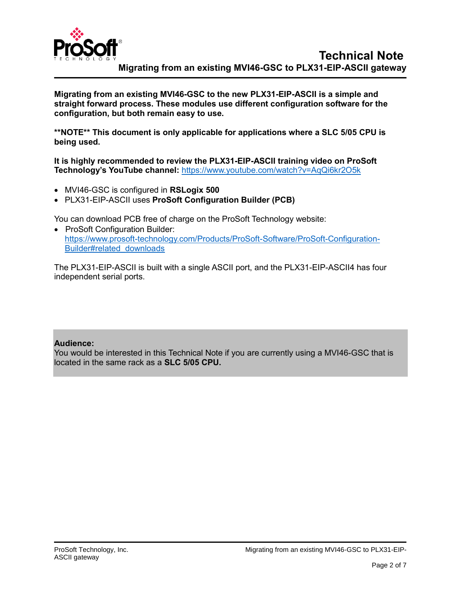

**Migrating from an existing MVI46-GSC to the new PLX31-EIP-ASCII is a simple and straight forward process. These modules use different configuration software for the configuration, but both remain easy to use.**

**\*\*NOTE\*\* This document is only applicable for applications where a SLC 5/05 CPU is being used.**

**It is highly recommended to review the PLX31-EIP-ASCII training video on ProSoft Technology's YouTube channel:** <https://www.youtube.com/watch?v=AqQi6kr2O5k>

- MVI46-GSC is configured in **RSLogix 500**
- PLX31-EIP-ASCII uses **ProSoft Configuration Builder (PCB)**

You can download PCB free of charge on the ProSoft Technology website:

• ProSoft Configuration Builder: [https://www.prosoft-technology.com/Products/ProSoft-Software/ProSoft-Configuration-](https://www.prosoft-technology.com/Products/ProSoft-Software/ProSoft-Configuration-Builder#related_downloads)[Builder#related\\_downloads](https://www.prosoft-technology.com/Products/ProSoft-Software/ProSoft-Configuration-Builder#related_downloads)

The PLX31-EIP-ASCII is built with a single ASCII port, and the PLX31-EIP-ASCII4 has four independent serial ports.

## **Audience:**

You would be interested in this Technical Note if you are currently using a MVI46-GSC that is located in the same rack as a **SLC 5/05 CPU.**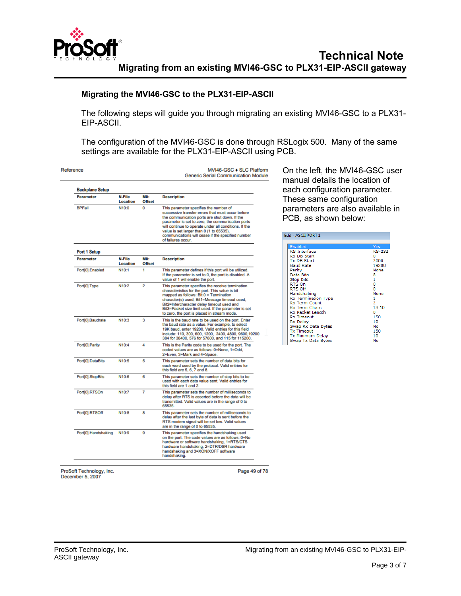

### **Migrating the MVI46-GSC to the PLX31-EIP-ASCII**

The following steps will guide you through migrating an existing MVI46-GSC to a PLX31- EIP-ASCII.

The configuration of the MVI46-GSC is done through RSLogix 500. Many of the same settings are available for the PLX31-EIP-ASCII using PCB.

| Reference              |                    |                             | MVI46-GSC + SLC Platform<br><b>Generic Serial Communication Module</b>                                                                                                                                                                                                                                                                                                            | On the left, the MVI46-GSC user<br>manual details the location of                                                                                              |                                                                                     |
|------------------------|--------------------|-----------------------------|-----------------------------------------------------------------------------------------------------------------------------------------------------------------------------------------------------------------------------------------------------------------------------------------------------------------------------------------------------------------------------------|----------------------------------------------------------------------------------------------------------------------------------------------------------------|-------------------------------------------------------------------------------------|
| <b>Backplane Setup</b> |                    |                             |                                                                                                                                                                                                                                                                                                                                                                                   | each configuration parameter.                                                                                                                                  |                                                                                     |
| <b>Parameter</b>       | N-File<br>Location | <b>MO:</b><br><b>Offset</b> | <b>Description</b>                                                                                                                                                                                                                                                                                                                                                                | These same configuration                                                                                                                                       |                                                                                     |
| <b>BPFail</b>          | N10:0              | 0                           | This parameter specifies the number of<br>successive transfer errors that must occur before<br>the communication ports are shut down. If the<br>parameter is set to zero, the communication ports<br>will continue to operate under all conditions. If the<br>value is set larger than 0 (1 to 65535),<br>communications will cease if the specified number<br>of failures occur. | parameters are also available in<br>PCB, as shown below:<br>Edit - ASCII PORT 1                                                                                |                                                                                     |
| Port 1 Setup           |                    |                             |                                                                                                                                                                                                                                                                                                                                                                                   | Enabled<br><b>RS</b> Interface                                                                                                                                 | Yes:<br><b>RS-232</b>                                                               |
| <b>Parameter</b>       | N-File<br>Location | <b>MO:</b><br><b>Offset</b> | <b>Description</b>                                                                                                                                                                                                                                                                                                                                                                | <b>Rx DB Start</b><br><b>Tx DB Start</b><br><b>Baud Rate</b>                                                                                                   | n<br>2000<br>19200                                                                  |
| Port[0].Enabled        | N10:1              | 1                           | This parameter defines if this port will be utilized.<br>If the parameter is set to 0, the port is disabled. A<br>value of 1 will enable the port.                                                                                                                                                                                                                                | Parity<br>Data Bits<br><b>Stop Bits</b>                                                                                                                        | None<br>8<br>1                                                                      |
| Port[0].Type           | N10:2              | $\overline{2}$              | This parameter specifies the receive termination<br>characteristics for the port. This value is bit<br>mapped as follows: Bit 0 = Termination<br>character(s) used, Bit1=Message timeout used,<br>Bit2=Intercharacter delay timeout used and<br>Bit3=Packet size limit used. If the parameter is set<br>to zero, the port is placed in stream mode.                               | RTS On<br><b>RTS Off</b><br>Handshaking<br><b>Rx Termination Type</b><br><b>Rx Term Count</b><br><b>Rx Term Chars</b><br>Rx Packet Length<br><b>Rx Timeout</b> | $\mathbf{O}$<br>$\Omega$<br>None<br>1<br>$\overline{2}$<br>13 10<br>$\Omega$<br>150 |
| Port[0].Baudrate       | N10:3              | 3                           | This is the baud rate to be used on the port. Enter<br>the baud rate as a value. For example, to select<br>19K baud, enter 19200. Valid entries for this field<br>include: 110, 300, 600, 1200, 2400, 4800, 9600, 19200<br>384 for 38400, 576 for 57600, and 115 for 115200.                                                                                                      | Rx Delay<br>Swap Rx Data Bytes<br><b>Tx Timeout</b><br><b>Tx Minimum Delay</b><br>Swap Tx Data Bytes                                                           | 10<br>No<br>150<br>10<br>No                                                         |
| Port[0].Parity         | N10:4              | 4                           | This is the Parity code to be used for the port. The<br>coded values are as follows: 0=None, 1=Odd,<br>2=Even, 3=Mark and 4=Space.                                                                                                                                                                                                                                                |                                                                                                                                                                |                                                                                     |
| Port[0].DataBits       | N10:5              | 5                           | This parameter sets the number of data bits for<br>each word used by the protocol. Valid entries for<br>this field are 5, 6, 7 and 8.                                                                                                                                                                                                                                             |                                                                                                                                                                |                                                                                     |
| Port[0].StopBits       | N10:6              | 6                           | This parameter sets the number of stop bits to be<br>used with each data value sent. Valid entries for<br>this field are 1 and 2.                                                                                                                                                                                                                                                 |                                                                                                                                                                |                                                                                     |
| Port[0].RTSOn          | N10:7              | 7                           | This parameter sets the number of milliseconds to<br>delay after RTS is asserted before the data will be<br>transmitted. Valid values are in the range of 0 to<br>65535                                                                                                                                                                                                           |                                                                                                                                                                |                                                                                     |
| Port[0].RTSOff         | N10:8              | 8                           | This parameter sets the number of milliseconds to<br>delay after the last byte of data is sent before the<br>RTS modem signal will be set low. Valid values<br>are in the range of 0 to 65535.                                                                                                                                                                                    |                                                                                                                                                                |                                                                                     |
| Port[0].Handshaking    | N10:9              | 9                           | This parameter specifies the handshaking used<br>on the port. The code values are as follows: 0=No<br>hardware or software handshaking, 1=RTS/CTS<br>hardware handshaking, 2=DTR/DSR hardware<br>handshaking and 3=XON/XOFF software<br>handshaking.                                                                                                                              |                                                                                                                                                                |                                                                                     |

ProSoft Technology, Inc.<br>December 5, 2007

Page 49 of 78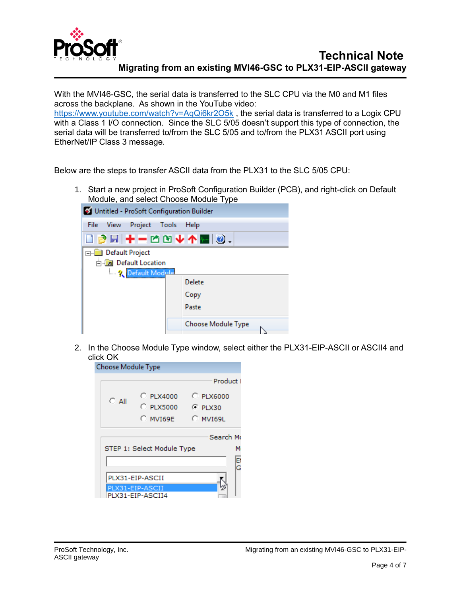

With the MVI46-GSC, the serial data is transferred to the SLC CPU via the M0 and M1 files across the backplane. As shown in the YouTube video: <https://www.youtube.com/watch?v=AqQi6kr2O5k> , the serial data is transferred to a Logix CPU with a Class 1 I/O connection. Since the SLC 5/05 doesn't support this type of connection, the serial data will be transferred to/from the SLC 5/05 and to/from the PLX31 ASCII port using EtherNet/IP Class 3 message.

Below are the steps to transfer ASCII data from the PLX31 to the SLC 5/05 CPU:

1. Start a new project in ProSoft Configuration Builder (PCB), and right-click on Default Module, and select Choose Module Type



2. In the Choose Module Type window, select either the PLX31-EIP-ASCII or ASCII4 and click OK

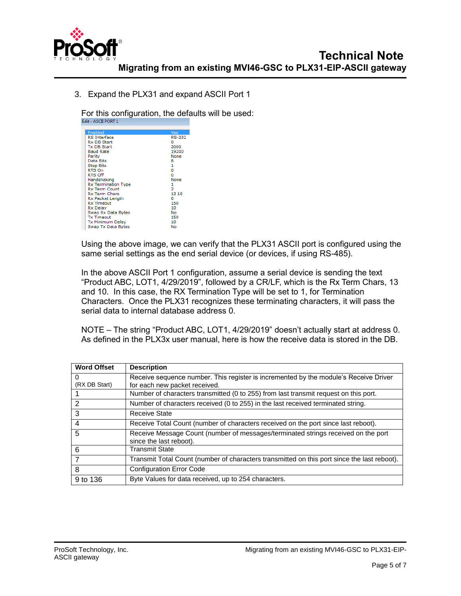

3. Expand the PLX31 and expand ASCII Port 1

For this configuration, the defaults will be used:<br>Edit - ASCII PORT 1

| Enabled                 | Yes           |
|-------------------------|---------------|
| <b>RS</b> Interface     | <b>RS-232</b> |
| <b>Rx DB Start</b>      | Ω             |
| <b>Tx DB Start</b>      | 2000          |
| <b>Baud Rate</b>        | 19200         |
| Parity                  | None          |
| Data Bits               | 8             |
| <b>Stop Bits</b>        | 1             |
| RTS On                  | 0             |
| <b>RTS Off</b>          | 0             |
| Handshaking             | None          |
| Rx Termination Type     | 1             |
| <b>Rx Term Count</b>    | 2             |
| <b>Rx Term Chars</b>    | 13 10         |
| Rx Packet Length        | ٥             |
| <b>Rx Timeout</b>       | 150           |
| <b>Rx Delav</b>         | 10            |
| Swap Rx Data Bytes      | No            |
| <b>Tx Timeout</b>       | 150           |
| <b>Tx Minimum Delay</b> | 10            |
| Swap Tx Data Bytes      | No            |

Using the above image, we can verify that the PLX31 ASCII port is configured using the same serial settings as the end serial device (or devices, if using RS-485).

In the above ASCII Port 1 configuration, assume a serial device is sending the text "Product ABC, LOT1, 4/29/2019", followed by a CR/LF, which is the Rx Term Chars, 13 and 10. In this case, the RX Termination Type will be set to 1, for Termination Characters. Once the PLX31 recognizes these terminating characters, it will pass the serial data to internal database address 0.

NOTE – The string "Product ABC, LOT1, 4/29/2019" doesn't actually start at address 0. As defined in the PLX3x user manual, here is how the receive data is stored in the DB.

| <b>Word Offset</b> | <b>Description</b>                                                                                           |
|--------------------|--------------------------------------------------------------------------------------------------------------|
| 0<br>(RX DB Start) | Receive sequence number. This register is incremented by the module's Receive Driver                         |
|                    | for each new packet received.                                                                                |
|                    | Number of characters transmitted (0 to 255) from last transmit request on this port.                         |
| $\overline{2}$     | Number of characters received (0 to 255) in the last received terminated string.                             |
| -3                 | Receive State                                                                                                |
| $\overline{4}$     | Receive Total Count (number of characters received on the port since last reboot).                           |
| 5                  | Receive Message Count (number of messages/terminated strings received on the port<br>since the last reboot). |
| 6                  | <b>Transmit State</b>                                                                                        |
| $\overline{7}$     | Transmit Total Count (number of characters transmitted on this port since the last reboot).                  |
| 8                  | <b>Configuration Error Code</b>                                                                              |
| 9 to 136           | Byte Values for data received, up to 254 characters.                                                         |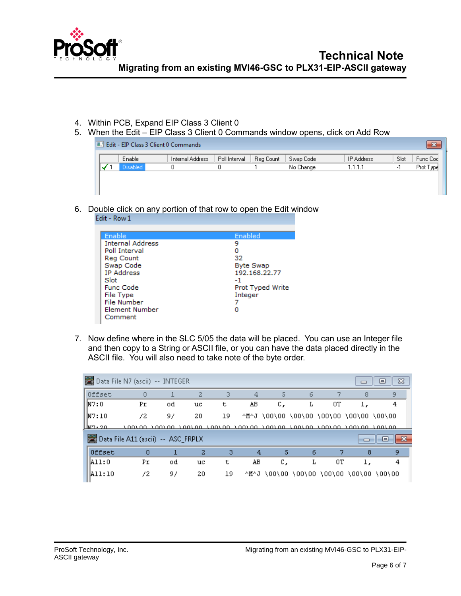

- 4. Within PCB, Expand EIP Class 3 Client 0
- 5. When the Edit EIP Class 3 Client 0 Commands window opens, click on Add Row

|  | <b>E. Left - EIP Class 3 Client 0 Commands</b> |                  |               |           |           |                   |      |           |
|--|------------------------------------------------|------------------|---------------|-----------|-----------|-------------------|------|-----------|
|  | Enable                                         | Internal Address | Poll Interval | Reg Count | Swap Code | <b>IP Address</b> | Slot | Func Coc  |
|  | <b>Disabled</b>                                |                  |               |           | No Change | 1.1.1.1           |      | Prot Type |
|  |                                                |                  |               |           |           |                   |      |           |
|  |                                                |                  |               |           |           |                   |      |           |
|  |                                                |                  |               |           |           |                   |      |           |

6. Double click on any portion of that row to open the Edit window<br>Edit - Row 1

| Enable                  | Enabled          |
|-------------------------|------------------|
| <b>Internal Address</b> | 9                |
| Poll Interval           |                  |
| Reg Count               | 32               |
| Swap Code               | <b>Byte Swap</b> |
| <b>IP Address</b>       | 192.168.22.77    |
| Slot                    | -1               |
| <b>Func Code</b>        | Prot Typed Write |
| File Type               | Integer          |
| File Number             |                  |
| Element Number          |                  |
| Comment                 |                  |

7. Now define where in the SLC 5/05 the data will be placed. You can use an Integer file and then copy to a String or ASCII file, or you can have the data placed directly in the ASCII file. You will also need to take note of the byte order.

|                                    | Data File N7 (ascii) -- INTEGER |    |                                                                              |    |    |    |   |                                         | $\Box$ | $\Sigma$<br>ᄇ                           |
|------------------------------------|---------------------------------|----|------------------------------------------------------------------------------|----|----|----|---|-----------------------------------------|--------|-----------------------------------------|
| Offset                             | 0                               |    | 2                                                                            | з  | 4  | 5  | 6 | 7                                       | 8      | 9                                       |
| NT:0                               | Pr                              | od | uc                                                                           | t  | AВ | С, | Ŀ | OΤ                                      |        | 4                                       |
| N7:10                              | 72                              | 97 | 20                                                                           | 19 |    |    |   | ^M^J \00\00 \00\00 \00\00 \00\00 \00\00 |        |                                         |
| LM7.20                             |                                 |    | <u>ianina inaina inaina inaina inaina inaina inaina inaina inaina inaina</u> |    |    |    |   |                                         |        |                                         |
| Data File A11 (ascii) -- ASC_FRPLX |                                 |    |                                                                              |    |    |    |   |                                         |        | -53<br>▫                                |
| Offset                             | $\Omega$                        |    | 2                                                                            | з  | 4  | 5  | 6 | 7                                       | 8      | 9                                       |
| A11:0                              | Pr                              | od | uc                                                                           | t  | AВ | С, | L | OΤ                                      | l,     | 4                                       |
| A11:10                             | 72                              | 97 | 20                                                                           | 19 |    |    |   |                                         |        | ^M^J \00\00 \00\00 \00\00 \00\00 \00\00 |